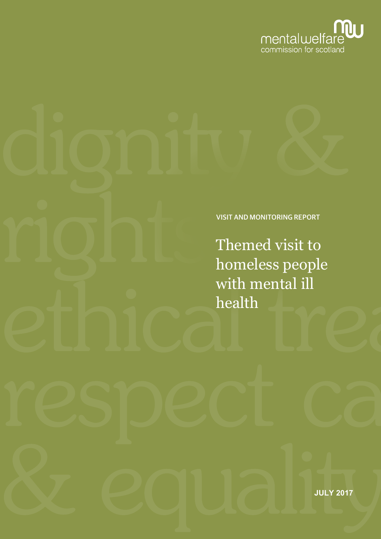

VISIT AND MONITORING REPORT

Themed visit to homeless people with mental ill health

**JULY 2017**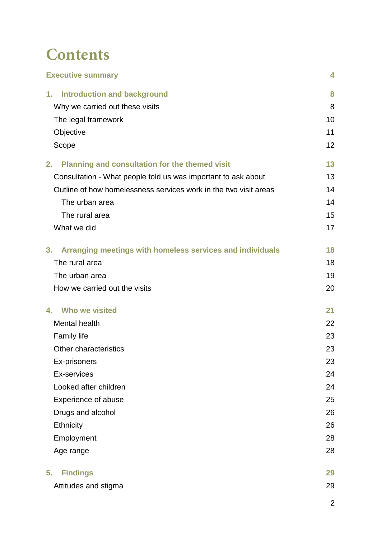## **Contents**

| <b>Executive summary</b>                                         | 4  |
|------------------------------------------------------------------|----|
| <b>Introduction and background</b><br>1.                         | 8  |
| Why we carried out these visits                                  | 8  |
| The legal framework                                              | 10 |
| Objective                                                        | 11 |
| Scope                                                            | 12 |
| 2.<br><b>Planning and consultation for the themed visit</b>      | 13 |
| Consultation - What people told us was important to ask about    | 13 |
| Outline of how homelessness services work in the two visit areas | 14 |
| The urban area                                                   | 14 |
| The rural area                                                   | 15 |
| What we did                                                      | 17 |
| 3.<br>Arranging meetings with homeless services and individuals  | 18 |
| The rural area                                                   | 18 |
| The urban area                                                   | 19 |
| How we carried out the visits                                    | 20 |
| Who we visited<br>4.                                             | 21 |
| Mental health                                                    | 22 |
| <b>Family life</b>                                               | 23 |
| Other characteristics                                            | 23 |
| Ex-prisoners                                                     | 23 |
| Ex-services                                                      | 24 |
| Looked after children                                            | 24 |
| <b>Experience of abuse</b>                                       | 25 |
| Drugs and alcohol                                                | 26 |
| Ethnicity                                                        | 26 |
| Employment                                                       | 28 |
| Age range                                                        | 28 |
| 5.<br><b>Findings</b>                                            | 29 |
| Attitudes and stigma                                             | 29 |
|                                                                  |    |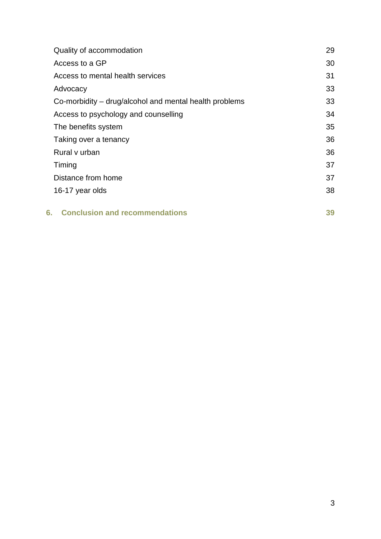| Quality of accommodation                               | 29 |
|--------------------------------------------------------|----|
| Access to a GP                                         | 30 |
| Access to mental health services                       | 31 |
| Advocacy                                               | 33 |
| Co-morbidity – drug/alcohol and mental health problems | 33 |
| Access to psychology and counselling                   | 34 |
| The benefits system                                    | 35 |
| Taking over a tenancy                                  | 36 |
| Rural v urban                                          | 36 |
| Timing                                                 | 37 |
| Distance from home                                     | 37 |
| 16-17 year olds                                        | 38 |
| <b>Conclusion and recommendations</b><br>6.            | 39 |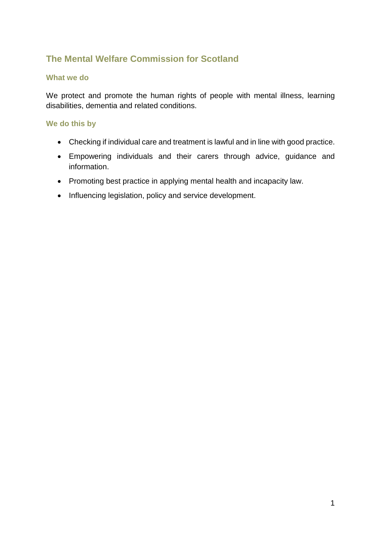## **The Mental Welfare Commission for Scotland**

#### **What we do**

We protect and promote the human rights of people with mental illness, learning disabilities, dementia and related conditions.

#### **We do this by**

- Checking if individual care and treatment is lawful and in line with good practice.
- Empowering individuals and their carers through advice, guidance and information.
- Promoting best practice in applying mental health and incapacity law.
- Influencing legislation, policy and service development.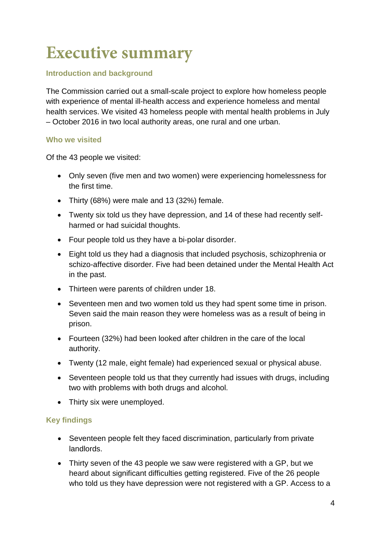# **Executive summary**

#### **Introduction and background**

The Commission carried out a small-scale project to explore how homeless people with experience of mental ill-health access and experience homeless and mental health services. We visited 43 homeless people with mental health problems in July – October 2016 in two local authority areas, one rural and one urban.

#### **Who we visited**

Of the 43 people we visited:

- Only seven (five men and two women) were experiencing homelessness for the first time.
- Thirty (68%) were male and 13 (32%) female.
- Twenty six told us they have depression, and 14 of these had recently selfharmed or had suicidal thoughts.
- Four people told us they have a bi-polar disorder.
- Eight told us they had a diagnosis that included psychosis, schizophrenia or schizo-affective disorder. Five had been detained under the Mental Health Act in the past.
- Thirteen were parents of children under 18.
- Seventeen men and two women told us they had spent some time in prison. Seven said the main reason they were homeless was as a result of being in prison.
- Fourteen (32%) had been looked after children in the care of the local authority.
- Twenty (12 male, eight female) had experienced sexual or physical abuse.
- Seventeen people told us that they currently had issues with drugs, including two with problems with both drugs and alcohol.
- Thirty six were unemployed.

#### **Key findings**

- Seventeen people felt they faced discrimination, particularly from private landlords.
- Thirty seven of the 43 people we saw were registered with a GP, but we heard about significant difficulties getting registered. Five of the 26 people who told us they have depression were not registered with a GP. Access to a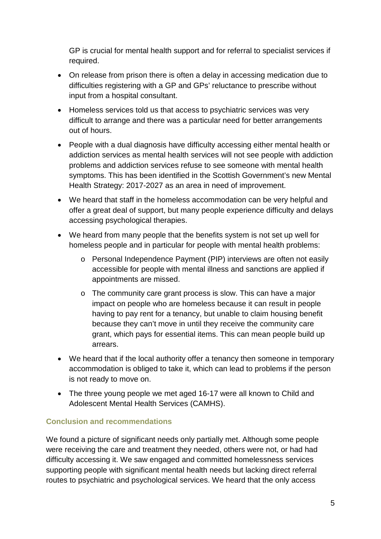GP is crucial for mental health support and for referral to specialist services if required.

- On release from prison there is often a delay in accessing medication due to difficulties registering with a GP and GPs' reluctance to prescribe without input from a hospital consultant.
- Homeless services told us that access to psychiatric services was very difficult to arrange and there was a particular need for better arrangements out of hours.
- People with a dual diagnosis have difficulty accessing either mental health or addiction services as mental health services will not see people with addiction problems and addiction services refuse to see someone with mental health symptoms. This has been identified in the Scottish Government's new Mental Health Strategy: 2017-2027 as an area in need of improvement.
- We heard that staff in the homeless accommodation can be very helpful and offer a great deal of support, but many people experience difficulty and delays accessing psychological therapies.
- We heard from many people that the benefits system is not set up well for homeless people and in particular for people with mental health problems:
	- o Personal Independence Payment (PIP) interviews are often not easily accessible for people with mental illness and sanctions are applied if appointments are missed.
	- o The community care grant process is slow. This can have a major impact on people who are homeless because it can result in people having to pay rent for a tenancy, but unable to claim housing benefit because they can't move in until they receive the community care grant, which pays for essential items. This can mean people build up arrears.
- We heard that if the local authority offer a tenancy then someone in temporary accommodation is obliged to take it, which can lead to problems if the person is not ready to move on.
- The three young people we met aged 16-17 were all known to Child and Adolescent Mental Health Services (CAMHS).

#### **Conclusion and recommendations**

We found a picture of significant needs only partially met. Although some people were receiving the care and treatment they needed, others were not, or had had difficulty accessing it. We saw engaged and committed homelessness services supporting people with significant mental health needs but lacking direct referral routes to psychiatric and psychological services. We heard that the only access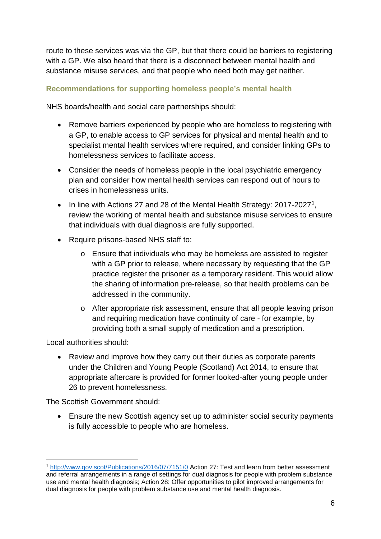route to these services was via the GP, but that there could be barriers to registering with a GP. We also heard that there is a disconnect between mental health and substance misuse services, and that people who need both may get neither.

#### **Recommendations for supporting homeless people's mental health**

NHS boards/health and social care partnerships should:

- Remove barriers experienced by people who are homeless to registering with a GP, to enable access to GP services for physical and mental health and to specialist mental health services where required, and consider linking GPs to homelessness services to facilitate access.
- Consider the needs of homeless people in the local psychiatric emergency plan and consider how mental health services can respond out of hours to crises in homelessness units.
- In line with Actions 27 and 28 of the Mental Health Strategy:  $2017-2027^1$ , review the working of mental health and substance misuse services to ensure that individuals with dual diagnosis are fully supported.
- Require prisons-based NHS staff to:
	- o Ensure that individuals who may be homeless are assisted to register with a GP prior to release, where necessary by requesting that the GP practice register the prisoner as a temporary resident. This would allow the sharing of information pre-release, so that health problems can be addressed in the community.
	- o After appropriate risk assessment, ensure that all people leaving prison and requiring medication have continuity of care - for example, by providing both a small supply of medication and a prescription.

Local authorities should:

• Review and improve how they carry out their duties as corporate parents under the Children and Young People (Scotland) Act 2014, to ensure that appropriate aftercare is provided for former looked-after young people under 26 to prevent homelessness.

The Scottish Government should:

• Ensure the new Scottish agency set up to administer social security payments is fully accessible to people who are homeless.

<span id="page-7-0"></span><sup>1</sup> <http://www.gov.scot/Publications/2016/07/7151/0> Action 27: Test and learn from better assessment and referral arrangements in a range of settings for dual diagnosis for people with problem substance use and mental health diagnosis; Action 28: Offer opportunities to pilot improved arrangements for dual diagnosis for people with problem substance use and mental health diagnosis.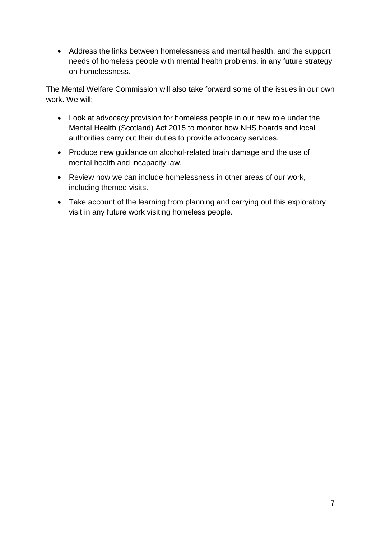• Address the links between homelessness and mental health, and the support needs of homeless people with mental health problems, in any future strategy on homelessness.

The Mental Welfare Commission will also take forward some of the issues in our own work. We will:

- Look at advocacy provision for homeless people in our new role under the Mental Health (Scotland) Act 2015 to monitor how NHS boards and local authorities carry out their duties to provide advocacy services.
- Produce new guidance on alcohol-related brain damage and the use of mental health and incapacity law.
- Review how we can include homelessness in other areas of our work, including themed visits.
- Take account of the learning from planning and carrying out this exploratory visit in any future work visiting homeless people.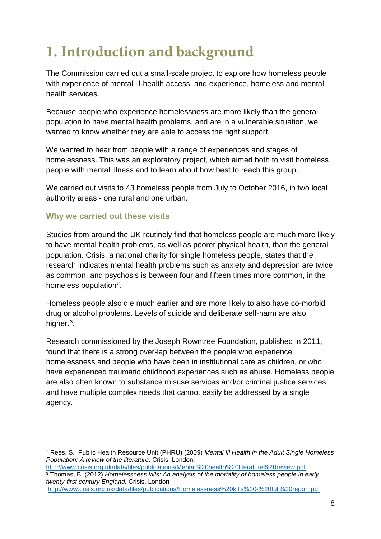# **1. Introduction and background**

The Commission carried out a small-scale project to explore how homeless people with experience of mental ill-health access, and experience, homeless and mental health services.

Because people who experience homelessness are more likely than the general population to have mental health problems, and are in a vulnerable situation, we wanted to know whether they are able to access the right support.

We wanted to hear from people with a range of experiences and stages of homelessness. This was an exploratory project, which aimed both to visit homeless people with mental illness and to learn about how best to reach this group.

We carried out visits to 43 homeless people from July to October 2016, in two local authority areas - one rural and one urban.

#### **Why we carried out these visits**

Studies from around the UK routinely find that homeless people are much more likely to have mental health problems, as well as poorer physical health, than the general population. Crisis, a national charity for single homeless people, states that the research indicates mental health problems such as anxiety and depression are twice as common, and psychosis is between four and fifteen times more common, in the homeless population<sup>[2](#page-9-0)</sup>.

Homeless people also die much earlier and are more likely to also have co-morbid drug or alcohol problems. Levels of suicide and deliberate self-harm are also higher.<sup>3</sup>.

Research commissioned by the Joseph Rowntree Foundation, published in 2011, found that there is a strong over-lap between the people who experience homelessness and people who have been in institutional care as children, or who have experienced traumatic childhood experiences such as abuse. Homeless people are also often known to substance misuse services and/or criminal justice services and have multiple complex needs that cannot easily be addressed by a single agency.

<span id="page-9-0"></span><sup>2</sup> Rees, S. Public Health Resource Unit (PHRU) (2009) *Mental Ill Health in the Adult Single Homeless Population: A review of the literature*. Crisis, London.

<span id="page-9-1"></span><sup>&</sup>lt;sup>3</sup> Thomas, B. (2012) *Homelessness kills: An analysis of the mortality of homeless people in early twenty-first century England.* Crisis, London

<http://www.crisis.org.uk/data/files/publications/Homelessness%20kills%20-%20full%20report.pdf>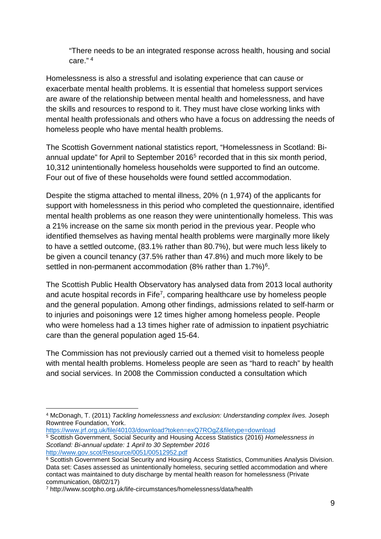"There needs to be an integrated response across health, housing and social care." [4](#page-10-0) 

Homelessness is also a stressful and isolating experience that can cause or exacerbate mental health problems. It is essential that homeless support services are aware of the relationship between mental health and homelessness, and have the skills and resources to respond to it. They must have close working links with mental health professionals and others who have a focus on addressing the needs of homeless people who have mental health problems.

The Scottish Government national statistics report, "Homelessness in Scotland: Biannual update" for April to September 2016[5](#page-10-1) recorded that in this six month period, 10,312 unintentionally homeless households were supported to find an outcome. Four out of five of these households were found settled accommodation.

Despite the stigma attached to mental illness, 20% (n 1,974) of the applicants for support with homelessness in this period who completed the questionnaire, identified mental health problems as one reason they were unintentionally homeless. This was a 21% increase on the same six month period in the previous year. People who identified themselves as having mental health problems were marginally more likely to have a settled outcome, (83.1% rather than 80.7%), but were much less likely to be given a council tenancy (37.5% rather than 47.8%) and much more likely to be settled in non-permanent accommodation (8% rather than 1.7%)<sup>[6](#page-10-2)</sup>.

The Scottish Public Health Observatory has analysed data from 2013 local authority and acute hospital records in Fife<sup>7</sup>[,](#page-10-3) comparing healthcare use by homeless people and the general population. Among other findings, admissions related to self-harm or to injuries and poisonings were 12 times higher among homeless people. People who were homeless had a 13 times higher rate of admission to inpatient psychiatric care than the general population aged 15-64.

The Commission has not previously carried out a themed visit to homeless people with mental health problems. Homeless people are seen as "hard to reach" by health and social services. In 2008 the Commission conducted a consultation which

<span id="page-10-1"></span><sup>5</sup> Scottish Government, Social Security and Housing Access Statistics (2016) *Homelessness in Scotland: Bi-annual update: 1 April to 30 September 2016* 

<span id="page-10-0"></span><sup>4</sup> McDonagh, T. (2011) *Tackling homelessness and exclusion: Understanding complex lives.* Joseph Rowntree Foundation, York.<br>https://www.jrf.org.uk/file/40103/download?token=exQ7ROgZ&filetype=download

<span id="page-10-2"></span> $\frac{6}{6}$  Scottish Government Social Security and Housing Access Statistics, Communities Analysis Division. Data set: Cases assessed as unintentionally homeless, securing settled accommodation and where contact was maintained to duty discharge by mental health reason for homelessness (Private

<span id="page-10-3"></span><sup>&</sup>lt;sup>7</sup> http://www.scotpho.org.uk/life-circumstances/homelessness/data/health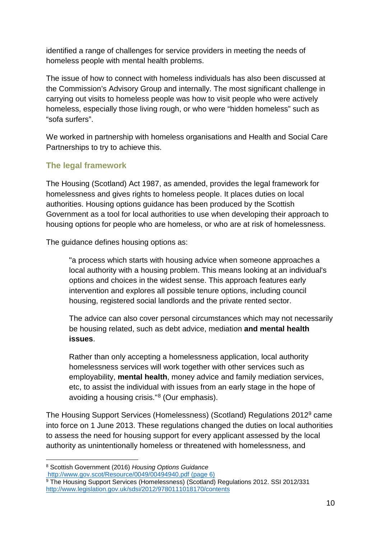identified a range of challenges for service providers in meeting the needs of homeless people with mental health problems.

The issue of how to connect with homeless individuals has also been discussed at the Commission's Advisory Group and internally. The most significant challenge in carrying out visits to homeless people was how to visit people who were actively homeless, especially those living rough, or who were "hidden homeless" such as "sofa surfers".

We worked in partnership with homeless organisations and Health and Social Care Partnerships to try to achieve this.

## **The legal framework**

The Housing (Scotland) Act 1987, as amended, provides the legal framework for homelessness and gives rights to homeless people. It places duties on local authorities. Housing options guidance has been produced by the Scottish Government as a tool for local authorities to use when developing their approach to housing options for people who are homeless, or who are at risk of homelessness.

The guidance defines housing options as:

"a process which starts with housing advice when someone approaches a local authority with a housing problem. This means looking at an individual's options and choices in the widest sense. This approach features early intervention and explores all possible tenure options, including council housing, registered social landlords and the private rented sector.

The advice can also cover personal circumstances which may not necessarily be housing related, such as debt advice, mediation **and mental health issues**.

Rather than only accepting a homelessness application, local authority homelessness services will work together with other services such as employability, **mental health**, money advice and family mediation services, etc, to assist the individual with issues from an early stage in the hope of avoiding a housing crisis."[8](#page-11-0) (Our emphasis).

The Housing Support Services (Homelessness) (Scotland) Regulations 2012[9](#page-11-1) came into force on 1 June 2013. These regulations changed the duties on local authorities to assess the need for housing support for every applicant assessed by the local authority as unintentionally homeless or threatened with homelessness, and

<span id="page-11-0"></span><sup>8</sup> Scottish Government (2016) *Housing Options Guidance* http://www.gov.scot/Resource/0049/00494940.pdf (page 6)

<span id="page-11-1"></span><sup>9</sup> The Housing Support Services (Homelessness) (Scotland) Regulations 2012. SSI 2012/331 <http://www.legislation.gov.uk/sdsi/2012/9780111018170/contents>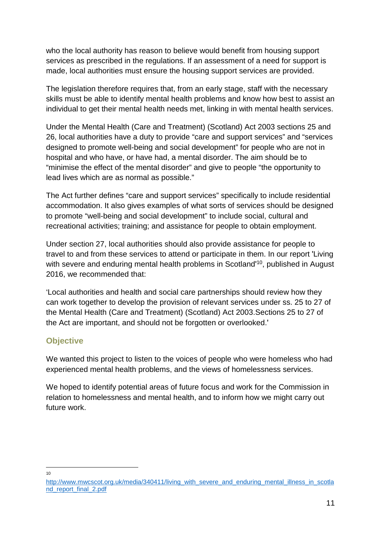who the local authority has reason to believe would benefit from housing support services as prescribed in the regulations. If an assessment of a need for support is made, local authorities must ensure the housing support services are provided.

The legislation therefore requires that, from an early stage, staff with the necessary skills must be able to identify mental health problems and know how best to assist an individual to get their mental health needs met, linking in with mental health services.

Under the Mental Health (Care and Treatment) (Scotland) Act 2003 sections 25 and 26, local authorities have a duty to provide "care and support services" and "services designed to promote well-being and social development" for people who are not in hospital and who have, or have had, a mental disorder. The aim should be to "minimise the effect of the mental disorder" and give to people "the opportunity to lead lives which are as normal as possible."

The Act further defines "care and support services" specifically to include residential accommodation. It also gives examples of what sorts of services should be designed to promote "well-being and social development" to include social, cultural and recreational activities; training; and assistance for people to obtain employment.

Under section 27, local authorities should also provide assistance for people to travel to and from these services to attend or participate in them. In our report 'Living with severe [an](#page-12-0)d enduring mental health problems in Scotland<sup>10</sup>, published in August 2016, we recommended that:

'Local authorities and health and social care partnerships should review how they can work together to develop the provision of relevant services under ss. 25 to 27 of the Mental Health (Care and Treatment) (Scotland) Act 2003.Sections 25 to 27 of the Act are important, and should not be forgotten or overlooked.'

## **Objective**

We wanted this project to listen to the voices of people who were homeless who had experienced mental health problems, and the views of homelessness services.

We hoped to identify potential areas of future focus and work for the Commission in relation to homelessness and mental health, and to inform how we might carry out future work.

10

<span id="page-12-0"></span>[http://www.mwcscot.org.uk/media/340411/living\\_with\\_severe\\_and\\_enduring\\_mental\\_illness\\_in\\_scotla](http://www.mwcscot.org.uk/media/340411/living_with_severe_and_enduring_mental_illness_in_scotland_report_final_2.pdf) nd\_report\_final\_2.pdf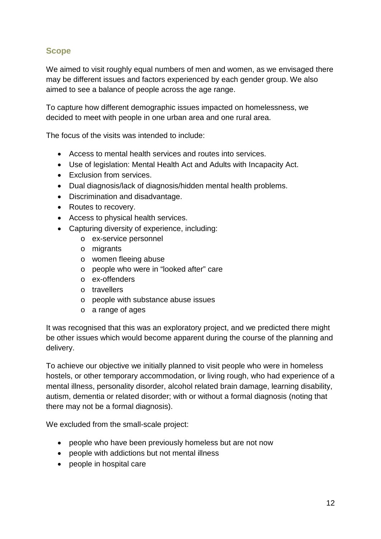## **Scope**

We aimed to visit roughly equal numbers of men and women, as we envisaged there may be different issues and factors experienced by each gender group. We also aimed to see a balance of people across the age range.

To capture how different demographic issues impacted on homelessness, we decided to meet with people in one urban area and one rural area.

The focus of the visits was intended to include:

- Access to mental health services and routes into services.
- Use of legislation: Mental Health Act and Adults with Incapacity Act.
- Exclusion from services.
- Dual diagnosis/lack of diagnosis/hidden mental health problems.
- Discrimination and disadvantage.
- Routes to recovery.
- Access to physical health services.
- Capturing diversity of experience, including:
	- o ex-service personnel
	- o migrants
	- o women fleeing abuse
	- o people who were in "looked after" care
	- o ex-offenders
	- o travellers
	- o people with substance abuse issues
	- o a range of ages

It was recognised that this was an exploratory project, and we predicted there might be other issues which would become apparent during the course of the planning and delivery.

To achieve our objective we initially planned to visit people who were in homeless hostels, or other temporary accommodation, or living rough, who had experience of a mental illness, personality disorder, alcohol related brain damage, learning disability, autism, dementia or related disorder; with or without a formal diagnosis (noting that there may not be a formal diagnosis).

We excluded from the small-scale project:

- people who have been previously homeless but are not now
- people with addictions but not mental illness
- people in hospital care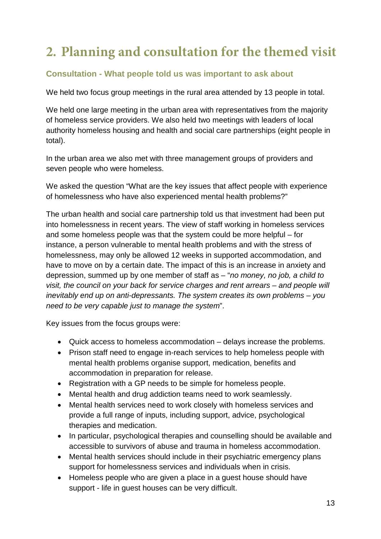## **2. Planning and consultation for the themed visit**

## **Consultation - What people told us was important to ask about**

We held two focus group meetings in the rural area attended by 13 people in total.

We held one large meeting in the urban area with representatives from the majority of homeless service providers. We also held two meetings with leaders of local authority homeless housing and health and social care partnerships (eight people in total).

In the urban area we also met with three management groups of providers and seven people who were homeless.

We asked the question "What are the key issues that affect people with experience of homelessness who have also experienced mental health problems?"

The urban health and social care partnership told us that investment had been put into homelessness in recent years. The view of staff working in homeless services and some homeless people was that the system could be more helpful – for instance, a person vulnerable to mental health problems and with the stress of homelessness, may only be allowed 12 weeks in supported accommodation, and have to move on by a certain date. The impact of this is an increase in anxiety and depression, summed up by one member of staff as – "*no money, no job, a child to visit, the council on your back for service charges and rent arrears – and people will inevitably end up on anti-depressants. The system creates its own problems – you need to be very capable just to manage the system*".

Key issues from the focus groups were:

- Quick access to homeless accommodation delays increase the problems.
- Prison staff need to engage in-reach services to help homeless people with mental health problems organise support, medication, benefits and accommodation in preparation for release.
- Registration with a GP needs to be simple for homeless people.
- Mental health and drug addiction teams need to work seamlessly.
- Mental health services need to work closely with homeless services and provide a full range of inputs, including support, advice, psychological therapies and medication.
- In particular, psychological therapies and counselling should be available and accessible to survivors of abuse and trauma in homeless accommodation.
- Mental health services should include in their psychiatric emergency plans support for homelessness services and individuals when in crisis.
- Homeless people who are given a place in a guest house should have support - life in guest houses can be very difficult.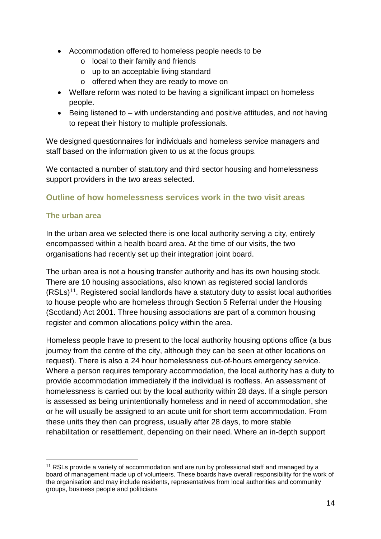- Accommodation offered to homeless people needs to be
	- o local to their family and friends
	- o up to an acceptable living standard
	- o offered when they are ready to move on
- Welfare reform was noted to be having a significant impact on homeless people.
- Being listened to with understanding and positive attitudes, and not having to repeat their history to multiple professionals.

We designed questionnaires for individuals and homeless service managers and staff based on the information given to us at the focus groups.

We contacted a number of statutory and third sector housing and homelessness support providers in the two areas selected.

#### **Outline of how homelessness services work in the two visit areas**

#### **The urban area**

In the urban area we selected there is one local authority serving a city, entirely encompassed within a health board area. At the time of our visits, the two organisations had recently set up their integration joint board.

The urban area is not a housing transfer authority and has its own housing stock. There are 10 housing associations, also known as registered social landlords (RSLs)[11.](#page-15-0) Registered social landlords have a statutory duty to assist local authorities to house people who are homeless through Section 5 Referral under the Housing (Scotland) Act 2001. Three housing associations are part of a common housing register and common allocations policy within the area.

Homeless people have to present to the local authority housing options office (a bus journey from the centre of the city, although they can be seen at other locations on request). There is also a 24 hour homelessness out-of-hours emergency service. Where a person requires temporary accommodation, the local authority has a duty to provide accommodation immediately if the individual is roofless. An assessment of homelessness is carried out by the local authority within 28 days. If a single person is assessed as being unintentionally homeless and in need of accommodation, she or he will usually be assigned to an acute unit for short term accommodation. From these units they then can progress, usually after 28 days, to more stable rehabilitation or resettlement, depending on their need. Where an in-depth support

<span id="page-15-0"></span><sup>11</sup> RSLs provide a variety of accommodation and are run by professional staff and managed by a board of management made up of volunteers. These boards have overall responsibility for the work of the organisation and may include residents, representatives from local authorities and community groups, business people and politicians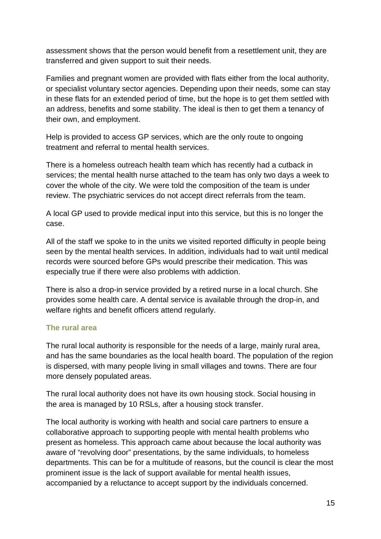assessment shows that the person would benefit from a resettlement unit, they are transferred and given support to suit their needs.

Families and pregnant women are provided with flats either from the local authority, or specialist voluntary sector agencies. Depending upon their needs, some can stay in these flats for an extended period of time, but the hope is to get them settled with an address, benefits and some stability. The ideal is then to get them a tenancy of their own, and employment.

Help is provided to access GP services, which are the only route to ongoing treatment and referral to mental health services.

There is a homeless outreach health team which has recently had a cutback in services; the mental health nurse attached to the team has only two days a week to cover the whole of the city. We were told the composition of the team is under review. The psychiatric services do not accept direct referrals from the team.

A local GP used to provide medical input into this service, but this is no longer the case.

All of the staff we spoke to in the units we visited reported difficulty in people being seen by the mental health services. In addition, individuals had to wait until medical records were sourced before GPs would prescribe their medication. This was especially true if there were also problems with addiction.

There is also a drop-in service provided by a retired nurse in a local church. She provides some health care. A dental service is available through the drop-in, and welfare rights and benefit officers attend regularly.

#### **The rural area**

The rural local authority is responsible for the needs of a large, mainly rural area, and has the same boundaries as the local health board. The population of the region is dispersed, with many people living in small villages and towns. There are four more densely populated areas.

The rural local authority does not have its own housing stock. Social housing in the area is managed by 10 RSLs, after a housing stock transfer.

The local authority is working with health and social care partners to ensure a collaborative approach to supporting people with mental health problems who present as homeless. This approach came about because the local authority was aware of "revolving door" presentations, by the same individuals, to homeless departments. This can be for a multitude of reasons, but the council is clear the most prominent issue is the lack of support available for mental health issues, accompanied by a reluctance to accept support by the individuals concerned.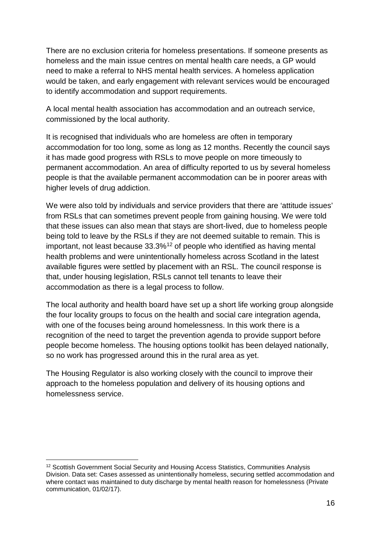There are no exclusion criteria for homeless presentations. If someone presents as homeless and the main issue centres on mental health care needs, a GP would need to make a referral to NHS mental health services. A homeless application would be taken, and early engagement with relevant services would be encouraged to identify accommodation and support requirements.

A local mental health association has accommodation and an outreach service, commissioned by the local authority.

It is recognised that individuals who are homeless are often in temporary accommodation for too long, some as long as 12 months. Recently the council says it has made good progress with RSLs to move people on more timeously to permanent accommodation. An area of difficulty reported to us by several homeless people is that the available permanent accommodation can be in poorer areas with higher levels of drug addiction.

We were also told by individuals and service providers that there are 'attitude issues' from RSLs that can sometimes prevent people from gaining housing. We were told that these issues can also mean that stays are short-lived, due to homeless people being told to leave by the RSLs if they are not deemed suitable to remain. This is important, not least because 33.3%[12](#page-17-0) of people who identified as having mental health problems and were unintentionally homeless across Scotland in the latest available figures were settled by placement with an RSL. The council response is that, under housing legislation, RSLs cannot tell tenants to leave their accommodation as there is a legal process to follow.

The local authority and health board have set up a short life working group alongside the four locality groups to focus on the health and social care integration agenda, with one of the focuses being around homelessness. In this work there is a recognition of the need to target the prevention agenda to provide support before people become homeless. The housing options toolkit has been delayed nationally, so no work has progressed around this in the rural area as yet.

The Housing Regulator is also working closely with the council to improve their approach to the homeless population and delivery of its housing options and homelessness service.

<span id="page-17-0"></span><sup>12</sup> Scottish Government Social Security and Housing Access Statistics, Communities Analysis Division. Data set: Cases assessed as unintentionally homeless, securing settled accommodation and where contact was maintained to duty discharge by mental health reason for homelessness (Private communication, 01/02/17).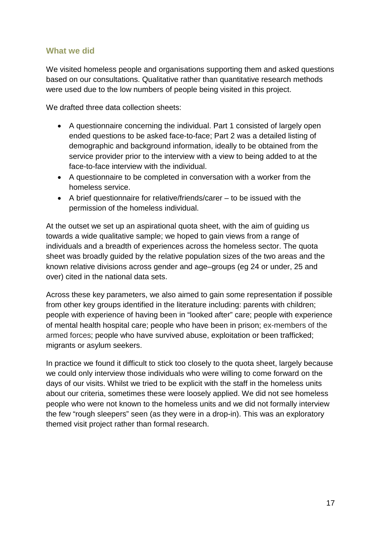#### **What we did**

We visited homeless people and organisations supporting them and asked questions based on our consultations. Qualitative rather than quantitative research methods were used due to the low numbers of people being visited in this project.

We drafted three data collection sheets:

- A questionnaire concerning the individual. Part 1 consisted of largely open ended questions to be asked face-to-face; Part 2 was a detailed listing of demographic and background information, ideally to be obtained from the service provider prior to the interview with a view to being added to at the face-to-face interview with the individual.
- A questionnaire to be completed in conversation with a worker from the homeless service.
- A brief questionnaire for relative/friends/carer to be issued with the permission of the homeless individual.

At the outset we set up an aspirational quota sheet, with the aim of guiding us towards a wide qualitative sample; we hoped to gain views from a range of individuals and a breadth of experiences across the homeless sector. The quota sheet was broadly guided by the relative population sizes of the two areas and the known relative divisions across gender and age–groups (eg 24 or under, 25 and over) cited in the national data sets.

Across these key parameters, we also aimed to gain some representation if possible from other key groups identified in the literature including: parents with children; people with experience of having been in "looked after" care; people with experience of mental health hospital care; people who have been in prison; ex-members of the armed forces; people who have survived abuse, exploitation or been trafficked; migrants or asylum seekers.

In practice we found it difficult to stick too closely to the quota sheet, largely because we could only interview those individuals who were willing to come forward on the days of our visits. Whilst we tried to be explicit with the staff in the homeless units about our criteria, sometimes these were loosely applied. We did not see homeless people who were not known to the homeless units and we did not formally interview the few "rough sleepers" seen (as they were in a drop-in). This was an exploratory themed visit project rather than formal research.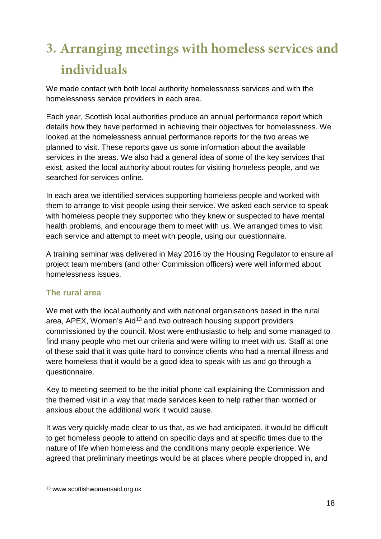# **3. Arranging meetings with homeless services and individuals**

We made contact with both local authority homelessness services and with the homelessness service providers in each area.

Each year, Scottish local authorities produce an annual performance report which details how they have performed in achieving their objectives for homelessness. We looked at the homelessness annual performance reports for the two areas we planned to visit. These reports gave us some information about the available services in the areas. We also had a general idea of some of the key services that exist, asked the local authority about routes for visiting homeless people, and we searched for services online.

In each area we identified services supporting homeless people and worked with them to arrange to visit people using their service. We asked each service to speak with homeless people they supported who they knew or suspected to have mental health problems, and encourage them to meet with us. We arranged times to visit each service and attempt to meet with people, using our questionnaire.

A training seminar was delivered in May 2016 by the Housing Regulator to ensure all project team members (and other Commission officers) were well informed about homelessness issues.

## **The rural area**

We met with the local authority and with national organisations based in the rural area, APEX, Women's Aid<sup>[13](#page-19-0)</sup> and two outreach housing support providers commissioned by the council. Most were enthusiastic to help and some managed to find many people who met our criteria and were willing to meet with us. Staff at one of these said that it was quite hard to convince clients who had a mental illness and were homeless that it would be a good idea to speak with us and go through a questionnaire.

Key to meeting seemed to be the initial phone call explaining the Commission and the themed visit in a way that made services keen to help rather than worried or anxious about the additional work it would cause.

It was very quickly made clear to us that, as we had anticipated, it would be difficult to get homeless people to attend on specific days and at specific times due to the nature of life when homeless and the conditions many people experience. We agreed that preliminary meetings would be at places where people dropped in, and

<span id="page-19-0"></span><sup>13</sup> www.scottishwomensaid.org.uk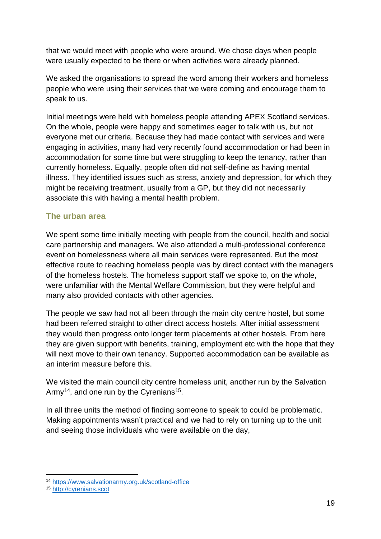that we would meet with people who were around. We chose days when people were usually expected to be there or when activities were already planned.

We asked the organisations to spread the word among their workers and homeless people who were using their services that we were coming and encourage them to speak to us.

Initial meetings were held with homeless people attending APEX Scotland services. On the whole, people were happy and sometimes eager to talk with us, but not everyone met our criteria. Because they had made contact with services and were engaging in activities, many had very recently found accommodation or had been in accommodation for some time but were struggling to keep the tenancy, rather than currently homeless. Equally, people often did not self-define as having mental illness. They identified issues such as stress, anxiety and depression, for which they might be receiving treatment, usually from a GP, but they did not necessarily associate this with having a mental health problem.

#### **The urban area**

We spent some time initially meeting with people from the council, health and social care partnership and managers. We also attended a multi-professional conference event on homelessness where all main services were represented. But the most effective route to reaching homeless people was by direct contact with the managers of the homeless hostels. The homeless support staff we spoke to, on the whole, were unfamiliar with the Mental Welfare Commission, but they were helpful and many also provided contacts with other agencies.

The people we saw had not all been through the main city centre hostel, but some had been referred straight to other direct access hostels. After initial assessment they would then progress onto longer term placements at other hostels. From here they are given support with benefits, training, employment etc with the hope that they will next move to their own tenancy. Supported accommodation can be available as an interim measure before this.

We visited the main council city centre homeless unit, another run by the Salvation Army<sup>[14](#page-20-0)</sup>, and one run by the Cyrenians<sup>15</sup>.

In all three units the method of finding someone to speak to could be problematic. Making appointments wasn't practical and we had to rely on turning up to the unit and seeing those individuals who were available on the day,

<span id="page-20-0"></span><sup>14</sup> <https://www.salvationarmy.org.uk/scotland-office>

<span id="page-20-1"></span><sup>15</sup> [http://cyrenians.scot](http://cyrenians.scot/)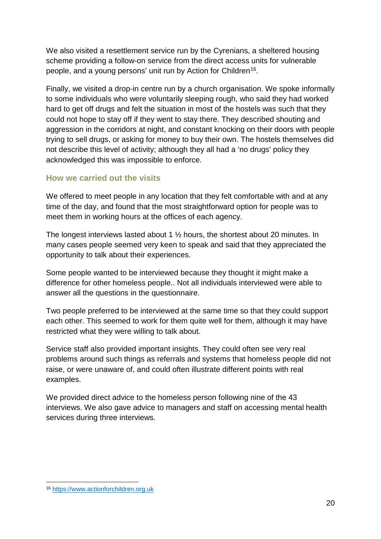We also visited a resettlement service run by the Cyrenians, a sheltered housing scheme providing a follow-on service from the direct access units for vulnerable people, and a young persons' unit run by Action for Children<sup>16</sup>.

Finally, we visited a drop-in centre run by a church organisation. We spoke informally to some individuals who were voluntarily sleeping rough, who said they had worked hard to get off drugs and felt the situation in most of the hostels was such that they could not hope to stay off if they went to stay there. They described shouting and aggression in the corridors at night, and constant knocking on their doors with people trying to sell drugs, or asking for money to buy their own. The hostels themselves did not describe this level of activity; although they all had a 'no drugs' policy they acknowledged this was impossible to enforce.

#### **How we carried out the visits**

We offered to meet people in any location that they felt comfortable with and at any time of the day, and found that the most straightforward option for people was to meet them in working hours at the offices of each agency.

The longest interviews lasted about 1 ½ hours, the shortest about 20 minutes. In many cases people seemed very keen to speak and said that they appreciated the opportunity to talk about their experiences.

Some people wanted to be interviewed because they thought it might make a difference for other homeless people.. Not all individuals interviewed were able to answer all the questions in the questionnaire.

Two people preferred to be interviewed at the same time so that they could support each other. This seemed to work for them quite well for them, although it may have restricted what they were willing to talk about.

Service staff also provided important insights. They could often see very real problems around such things as referrals and systems that homeless people did not raise, or were unaware of, and could often illustrate different points with real examples.

We provided direct advice to the homeless person following nine of the 43 interviews. We also gave advice to managers and staff on accessing mental health services during three interviews.

<span id="page-21-0"></span><sup>16</sup> [https://www.actionforchildren.org.uk](https://www.actionforchildren.org.uk/)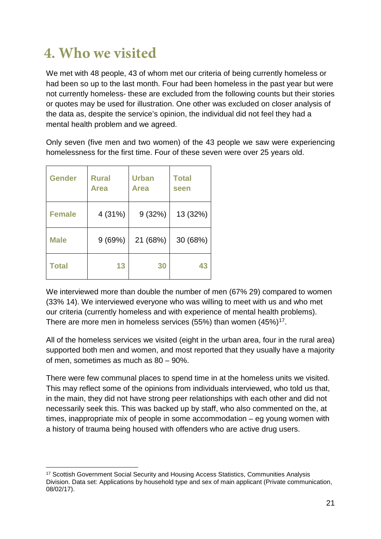## **4. Who we visited**

We met with 48 people, 43 of whom met our criteria of being currently homeless or had been so up to the last month. Four had been homeless in the past year but were not currently homeless- these are excluded from the following counts but their stories or quotes may be used for illustration. One other was excluded on closer analysis of the data as, despite the service's opinion, the individual did not feel they had a mental health problem and we agreed.

Only seven (five men and two women) of the 43 people we saw were experiencing homelessness for the first time. Four of these seven were over 25 years old.

| <b>Gender</b> | <b>Rural</b><br><b>Area</b> | <b>Urban</b><br>Area | <b>Total</b><br>seen |
|---------------|-----------------------------|----------------------|----------------------|
| <b>Female</b> | 4 (31%)                     | 9(32%)               | 13 (32%)             |
| <b>Male</b>   | 9(69%)                      | 21 (68%)             | 30 (68%)             |
| <b>Total</b>  | 13                          | 30                   | 43                   |

We interviewed more than double the number of men (67% 29) compared to women (33% 14). We interviewed everyone who was willing to meet with us and who met our criteria (currently homeless and with experience of mental health problems). There are more men in homeless services (55%) than women  $(45\%)^{17}$ .

All of the homeless services we visited (eight in the urban area, four in the rural area) supported both men and women, and most reported that they usually have a majority of men, sometimes as much as 80 – 90%.

There were few communal places to spend time in at the homeless units we visited. This may reflect some of the opinions from individuals interviewed, who told us that, in the main, they did not have strong peer relationships with each other and did not necessarily seek this. This was backed up by staff, who also commented on the, at times, inappropriate mix of people in some accommodation – eg young women with a history of trauma being housed with offenders who are active drug users.

<span id="page-22-0"></span><sup>17</sup> Scottish Government Social Security and Housing Access Statistics, Communities Analysis Division. Data set: Applications by household type and sex of main applicant (Private communication, 08/02/17).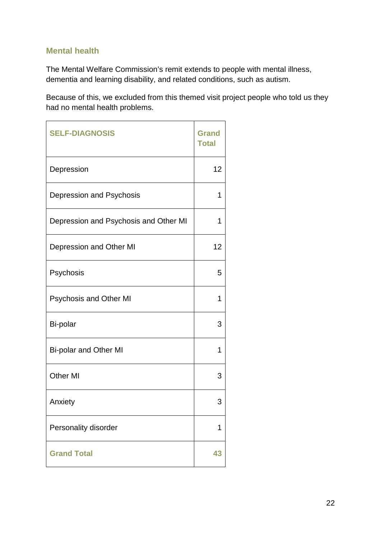#### **Mental health**

The Mental Welfare Commission's remit extends to people with mental illness, dementia and learning disability, and related conditions, such as autism.

Because of this, we excluded from this themed visit project people who told us they had no mental health problems.

| <b>SELF-DIAGNOSIS</b>                 | <b>Grand</b><br><b>Total</b> |
|---------------------------------------|------------------------------|
| Depression                            | 12                           |
| Depression and Psychosis              | 1                            |
| Depression and Psychosis and Other MI | 1                            |
| Depression and Other MI               | 12                           |
| Psychosis                             | 5                            |
| <b>Psychosis and Other MI</b>         | 1                            |
| Bi-polar                              | 3                            |
| <b>Bi-polar and Other MI</b>          | 1                            |
| <b>Other MI</b>                       | 3                            |
| Anxiety                               | 3                            |
| Personality disorder                  | 1                            |
| <b>Grand Total</b>                    | 43                           |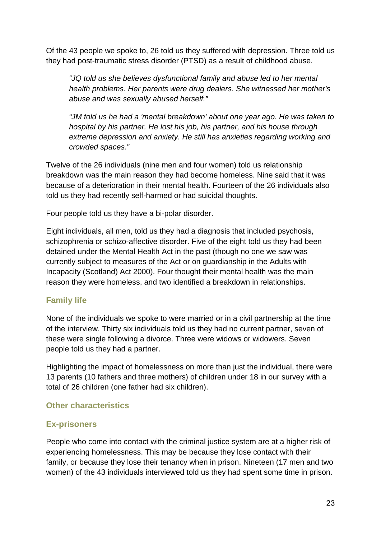Of the 43 people we spoke to, 26 told us they suffered with depression. Three told us they had post-traumatic stress disorder (PTSD) as a result of childhood abuse.

*"JQ told us she believes dysfunctional family and abuse led to her mental health problems. Her parents were drug dealers. She witnessed her mother's abuse and was sexually abused herself."* 

*"JM told us he had a 'mental breakdown' about one year ago. He was taken to hospital by his partner. He lost his job, his partner, and his house through extreme depression and anxiety. He still has anxieties regarding working and crowded spaces."* 

Twelve of the 26 individuals (nine men and four women) told us relationship breakdown was the main reason they had become homeless. Nine said that it was because of a deterioration in their mental health. Fourteen of the 26 individuals also told us they had recently self-harmed or had suicidal thoughts.

Four people told us they have a bi-polar disorder.

Eight individuals, all men, told us they had a diagnosis that included psychosis, schizophrenia or schizo-affective disorder. Five of the eight told us they had been detained under the Mental Health Act in the past (though no one we saw was currently subject to measures of the Act or on guardianship in the Adults with Incapacity (Scotland) Act 2000). Four thought their mental health was the main reason they were homeless, and two identified a breakdown in relationships.

#### **Family life**

None of the individuals we spoke to were married or in a civil partnership at the time of the interview. Thirty six individuals told us they had no current partner, seven of these were single following a divorce. Three were widows or widowers. Seven people told us they had a partner.

Highlighting the impact of homelessness on more than just the individual, there were 13 parents (10 fathers and three mothers) of children under 18 in our survey with a total of 26 children (one father had six children).

#### **Other characteristics**

#### **Ex-prisoners**

People who come into contact with the criminal justice system are at a higher risk of experiencing homelessness. This may be because they lose contact with their family, or because they lose their tenancy when in prison. Nineteen (17 men and two women) of the 43 individuals interviewed told us they had spent some time in prison.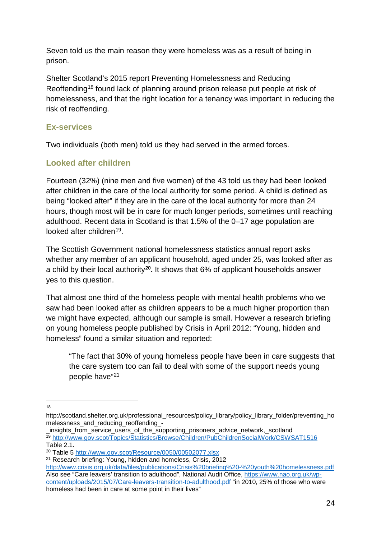Seven told us the main reason they were homeless was as a result of being in prison.

Shelter Scotland's 2015 report Preventing Homelessness and Reducing Reoffending[18](#page-25-0) found lack of planning around prison release put people at risk of homelessness, and that the right location for a tenancy was important in reducing the risk of reoffending.

#### **Ex-services**

Two individuals (both men) told us they had served in the armed forces.

## **Looked after children**

Fourteen (32%) (nine men and five women) of the 43 told us they had been looked after children in the care of the local authority for some period. A child is defined as being "looked after" if they are in the care of the local authority for more than 24 hours, though most will be in care for much longer periods, sometimes until reaching adulthood. Recent data in Scotland is that 1.5% of the 0–17 age population are looked after children<sup>[19](#page-25-1)</sup>.

The Scottish Government national homelessness statistics annual report asks whether any member of an applicant household, aged under 25, was looked after as a child by their local authority**[20.](#page-25-2)** It shows that 6% of applicant households answer yes to this question.

That almost one third of the homeless people with mental health problems who we saw had been looked after as children appears to be a much higher proportion than we might have expected, although our sample is small. However a research briefing on young homeless people published by Crisis in April 2012: "Young, hidden and homeless" found a similar situation and reported:

"The fact that 30% of young homeless people have been in care suggests that the care system too can fail to deal with some of the support needs young people have"[21](#page-25-3)

18

<span id="page-25-0"></span>http://scotland.shelter.org.uk/professional\_resources/policy\_library/policy\_library\_folder/preventing\_ho melessness\_and\_reducing\_reoffending\_-

<span id="page-25-1"></span>\_insights\_from\_service\_users\_of\_the\_supporting\_prisoners\_advice\_network,\_scotland <sup>19</sup> <http://www.gov.scot/Topics/Statistics/Browse/Children/PubChildrenSocialWork/CSWSAT1516> Table 2.1.

<span id="page-25-2"></span><sup>20</sup> Table 5 <http://www.gov.scot/Resource/0050/00502077.xlsx>

<span id="page-25-3"></span><sup>21</sup> Research briefing: Young, hidden and homeless, Crisis, 2012 <http://www.crisis.org.uk/data/files/publications/Crisis%20briefing%20-%20youth%20homelessness.pdf> Also see "Care leavers' transition to adulthood", National Audit Office, [https://www.nao.org.uk/wp](https://www.nao.org.uk/wp-content/uploads/2015/07/Care-leavers-transition-to-adulthood.pdf)[content/uploads/2015/07/Care-leavers-transition-to-adulthood.pdf](https://www.nao.org.uk/wp-content/uploads/2015/07/Care-leavers-transition-to-adulthood.pdf) "in 2010, 25% of those who were homeless had been in care at some point in their lives"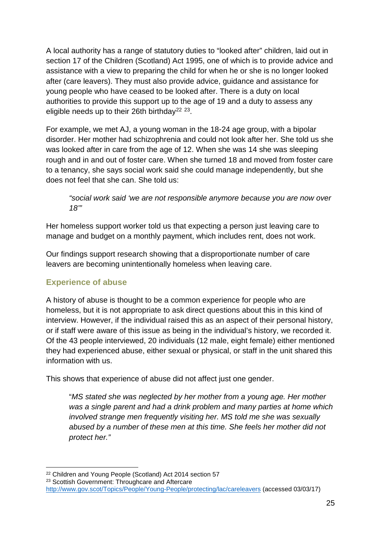A local authority has a range of statutory duties to "looked after" children, laid out in section 17 of the Children (Scotland) Act 1995, one of which is to provide advice and assistance with a view to preparing the child for when he or she is no longer looked after (care leavers). They must also provide advice, guidance and assistance for young people who have ceased to be looked after. There is a duty on local authorities to provide this support up to the age of 19 and a duty to assess any eligible needs up to their 26th birthday<sup>[22](#page-26-0) 23</sup>.

For example, we met AJ, a young woman in the 18-24 age group, with a bipolar disorder. Her mother had schizophrenia and could not look after her. She told us she was looked after in care from the age of 12. When she was 14 she was sleeping rough and in and out of foster care. When she turned 18 and moved from foster care to a tenancy, she says social work said she could manage independently, but she does not feel that she can. She told us:

*"social work said 'we are not responsible anymore because you are now over 18'"*

Her homeless support worker told us that expecting a person just leaving care to manage and budget on a monthly payment, which includes rent, does not work.

Our findings support research showing that a disproportionate number of care leavers are becoming unintentionally homeless when leaving care.

#### **Experience of abuse**

A history of abuse is thought to be a common experience for people who are homeless, but it is not appropriate to ask direct questions about this in this kind of interview. However, if the individual raised this as an aspect of their personal history, or if staff were aware of this issue as being in the individual's history, we recorded it. Of the 43 people interviewed, 20 individuals (12 male, eight female) either mentioned they had experienced abuse, either sexual or physical, or staff in the unit shared this information with us.

This shows that experience of abuse did not affect just one gender.

"*MS stated she was neglected by her mother from a young age. Her mother was a single parent and had a drink problem and many parties at home which involved strange men frequently visiting her. MS told me she was sexually abused by a number of these men at this time. She feels her mother did not protect her."*

<span id="page-26-0"></span><sup>22</sup> Children and Young People (Scotland) Act 2014 section 57

<span id="page-26-1"></span><sup>&</sup>lt;sup>23</sup> Scottish Government: Throughcare and Aftercare

<http://www.gov.scot/Topics/People/Young-People/protecting/lac/careleavers> (accessed 03/03/17)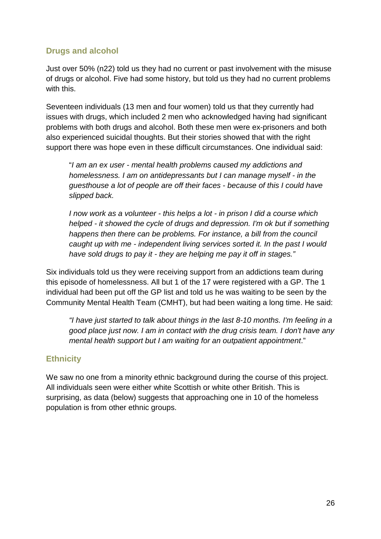## **Drugs and alcohol**

Just over 50% (n22) told us they had no current or past involvement with the misuse of drugs or alcohol. Five had some history, but told us they had no current problems with this.

Seventeen individuals (13 men and four women) told us that they currently had issues with drugs, which included 2 men who acknowledged having had significant problems with both drugs and alcohol. Both these men were ex-prisoners and both also experienced suicidal thoughts. But their stories showed that with the right support there was hope even in these difficult circumstances. One individual said:

"*I am an ex user - mental health problems caused my addictions and homelessness. I am on antidepressants but I can manage myself - in the guesthouse a lot of people are off their faces - because of this I could have slipped back.* 

*I now work as a volunteer - this helps a lot - in prison I did a course which helped - it showed the cycle of drugs and depression. I'm ok but if something happens then there can be problems. For instance, a bill from the council caught up with me - independent living services sorted it. In the past I would have sold drugs to pay it - they are helping me pay it off in stages."* 

Six individuals told us they were receiving support from an addictions team during this episode of homelessness. All but 1 of the 17 were registered with a GP. The 1 individual had been put off the GP list and told us he was waiting to be seen by the Community Mental Health Team (CMHT), but had been waiting a long time. He said:

*"I have just started to talk about things in the last 8-10 months. I'm feeling in a good place just now. I am in contact with the drug crisis team. I don't have any mental health support but I am waiting for an outpatient appointment*."

#### **Ethnicity**

We saw no one from a minority ethnic background during the course of this project. All individuals seen were either white Scottish or white other British. This is surprising, as data (below) suggests that approaching one in 10 of the homeless population is from other ethnic groups.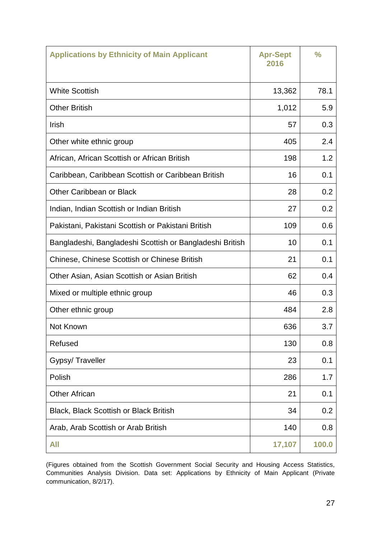| <b>Applications by Ethnicity of Main Applicant</b>       | <b>Apr-Sept</b><br>2016 | $\frac{0}{0}$ |
|----------------------------------------------------------|-------------------------|---------------|
| <b>White Scottish</b>                                    | 13,362                  | 78.1          |
| <b>Other British</b>                                     | 1,012                   | 5.9           |
| Irish                                                    | 57                      | 0.3           |
| Other white ethnic group                                 | 405                     | 2.4           |
| African, African Scottish or African British             | 198                     | 1.2           |
| Caribbean, Caribbean Scottish or Caribbean British       | 16                      | 0.1           |
| Other Caribbean or Black                                 | 28                      | 0.2           |
| Indian, Indian Scottish or Indian British                | 27                      | 0.2           |
| Pakistani, Pakistani Scottish or Pakistani British       | 109                     | 0.6           |
| Bangladeshi, Bangladeshi Scottish or Bangladeshi British | 10                      | 0.1           |
| <b>Chinese, Chinese Scottish or Chinese British</b>      | 21                      | 0.1           |
| Other Asian, Asian Scottish or Asian British             | 62                      | 0.4           |
| Mixed or multiple ethnic group                           | 46                      | 0.3           |
| Other ethnic group                                       | 484                     | 2.8           |
| Not Known                                                | 636                     | 3.7           |
| Refused                                                  | 130                     | 0.8           |
| Gypsy/Traveller                                          | 23                      | 0.1           |
| Polish                                                   | 286                     | 1.7           |
| <b>Other African</b>                                     | 21                      | 0.1           |
| <b>Black, Black Scottish or Black British</b>            | 34                      | 0.2           |
| Arab, Arab Scottish or Arab British                      | 140                     | 0.8           |
| All                                                      | 17,107                  | 100.0         |

(Figures obtained from the Scottish Government Social Security and Housing Access Statistics, Communities Analysis Division. Data set: Applications by Ethnicity of Main Applicant (Private communication, 8/2/17).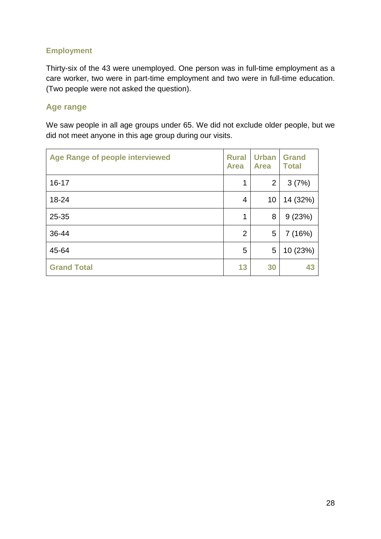#### **Employment**

Thirty-six of the 43 were unemployed. One person was in full-time employment as a care worker, two were in part-time employment and two were in full-time education. (Two people were not asked the question).

#### **Age range**

We saw people in all age groups under 65. We did not exclude older people, but we did not meet anyone in this age group during our visits.

| <b>Age Range of people interviewed</b> | <b>Rural</b><br><b>Area</b> | <b>Urban</b><br><b>Area</b> | <b>Grand</b><br><b>Total</b> |
|----------------------------------------|-----------------------------|-----------------------------|------------------------------|
| $16 - 17$                              | 1                           | $\overline{2}$              | 3(7%)                        |
| 18-24                                  | 4                           | 10                          | 14 (32%)                     |
| 25-35                                  | 1                           | 8                           | 9(23%)                       |
| 36-44                                  | $\overline{2}$              | 5                           | 7 (16%)                      |
| 45-64                                  | 5                           | 5                           | 10 (23%)                     |
| <b>Grand Total</b>                     | 13                          | 30                          | 43                           |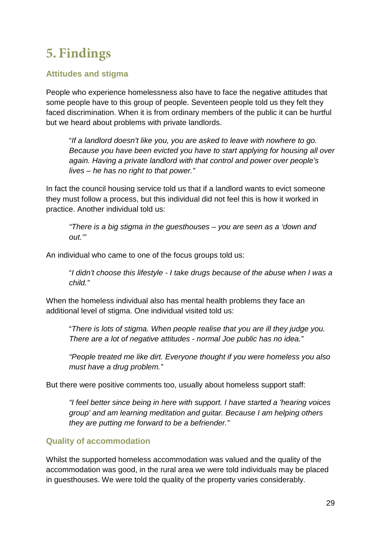## **5. Findings**

## **Attitudes and stigma**

People who experience homelessness also have to face the negative attitudes that some people have to this group of people. Seventeen people told us they felt they faced discrimination. When it is from ordinary members of the public it can be hurtful but we heard about problems with private landlords.

"*If a landlord doesn't like you, you are asked to leave with nowhere to go. Because you have been evicted you have to start applying for housing all over again. Having a private landlord with that control and power over people's lives – he has no right to that power."* 

In fact the council housing service told us that if a landlord wants to evict someone they must follow a process, but this individual did not feel this is how it worked in practice. Another individual told us:

*"There is a big stigma in the guesthouses – you are seen as a 'down and out.'"*

An individual who came to one of the focus groups told us:

"*I didn't choose this lifestyle - I take drugs because of the abuse when I was a child."*

When the homeless individual also has mental health problems they face an additional level of stigma. One individual visited told us:

"*There is lots of stigma. When people realise that you are ill they judge you. There are a lot of negative attitudes - normal Joe public has no idea."* 

*"People treated me like dirt. Everyone thought if you were homeless you also must have a drug problem."* 

But there were positive comments too, usually about homeless support staff:

*"I feel better since being in here with support. I have started a 'hearing voices group' and am learning meditation and guitar. Because I am helping others they are putting me forward to be a befriender."* 

## **Quality of accommodation**

Whilst the supported homeless accommodation was valued and the quality of the accommodation was good, in the rural area we were told individuals may be placed in guesthouses. We were told the quality of the property varies considerably.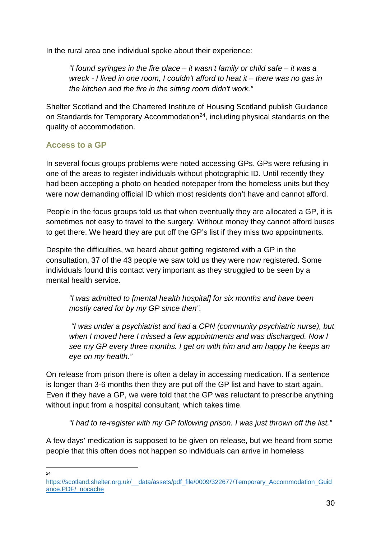In the rural area one individual spoke about their experience:

*"I found syringes in the fire place – it wasn't family or child safe – it was a wreck - I lived in one room, I couldn't afford to heat it – there was no gas in the kitchen and the fire in the sitting room didn't work."* 

Shelter Scotland and the Chartered Institute of Housing Scotland publish Guidance on Standards for Temporary Accommodation<sup>24</sup>, including physical standards on the quality of accommodation.

#### **Access to a GP**

In several focus groups problems were noted accessing GPs. GPs were refusing in one of the areas to register individuals without photographic ID. Until recently they had been accepting a photo on headed notepaper from the homeless units but they were now demanding official ID which most residents don't have and cannot afford.

People in the focus groups told us that when eventually they are allocated a GP, it is sometimes not easy to travel to the surgery. Without money they cannot afford buses to get there. We heard they are put off the GP's list if they miss two appointments.

Despite the difficulties, we heard about getting registered with a GP in the consultation, 37 of the 43 people we saw told us they were now registered. Some individuals found this contact very important as they struggled to be seen by a mental health service.

*"I was admitted to [mental health hospital] for six months and have been mostly cared for by my GP since then".*

 *"I was under a psychiatrist and had a CPN (community psychiatric nurse), but when I moved here I missed a few appointments and was discharged. Now I see my GP every three months. I get on with him and am happy he keeps an eye on my health."* 

On release from prison there is often a delay in accessing medication. If a sentence is longer than 3-6 months then they are put off the GP list and have to start again. Even if they have a GP, we were told that the GP was reluctant to prescribe anything without input from a hospital consultant, which takes time.

*"I had to re-register with my GP following prison. I was just thrown off the list."* 

A few days' medication is supposed to be given on release, but we heard from some people that this often does not happen so individuals can arrive in homeless

 $24$ 

<span id="page-31-0"></span>[https://scotland.shelter.org.uk/\\_\\_data/assets/pdf\\_file/0009/322677/Temporary\\_Accommodation\\_Guid](https://scotland.shelter.org.uk/__data/assets/pdf_file/0009/322677/Temporary_Accommodation_Guidance.PDF/_nocache) [ance.PDF/\\_nocache](https://scotland.shelter.org.uk/__data/assets/pdf_file/0009/322677/Temporary_Accommodation_Guidance.PDF/_nocache)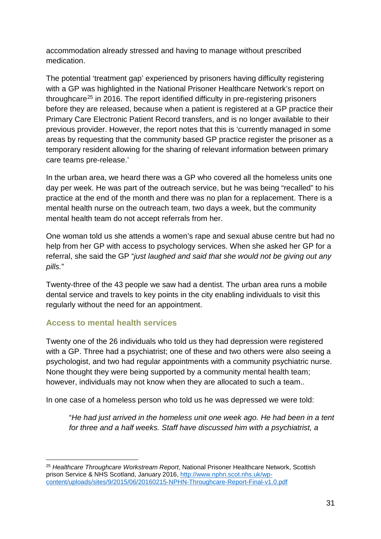accommodation already stressed and having to manage without prescribed medication.

The potential 'treatment gap' experienced by prisoners having difficulty registering with a GP was highlighted in the National Prisoner Healthcare Network's report on throughcare[25](#page-32-0) in 2016. The report identified difficulty in pre-registering prisoners before they are released, because when a patient is registered at a GP practice their Primary Care Electronic Patient Record transfers, and is no longer available to their previous provider. However, the report notes that this is 'currently managed in some areas by requesting that the community based GP practice register the prisoner as a temporary resident allowing for the sharing of relevant information between primary care teams pre-release.'

In the urban area, we heard there was a GP who covered all the homeless units one day per week. He was part of the outreach service, but he was being "recalled" to his practice at the end of the month and there was no plan for a replacement. There is a mental health nurse on the outreach team, two days a week, but the community mental health team do not accept referrals from her.

One woman told us she attends a women's rape and sexual abuse centre but had no help from her GP with access to psychology services. When she asked her GP for a referral, she said the GP "*just laughed and said that she would not be giving out any pills.*"

Twenty-three of the 43 people we saw had a dentist. The urban area runs a mobile dental service and travels to key points in the city enabling individuals to visit this regularly without the need for an appointment.

#### **Access to mental health services**

Twenty one of the 26 individuals who told us they had depression were registered with a GP. Three had a psychiatrist; one of these and two others were also seeing a psychologist, and two had regular appointments with a community psychiatric nurse. None thought they were being supported by a community mental health team; however, individuals may not know when they are allocated to such a team..

In one case of a homeless person who told us he was depressed we were told:

"*He had just arrived in the homeless unit one week ago. He had been in a tent for three and a half weeks. Staff have discussed him with a psychiatrist, a* 

<span id="page-32-0"></span><sup>25</sup> *Healthcare Throughcare Workstream Report*, National Prisoner Healthcare Network, Scottish prison Service & NHS Scotland, January 2016, [http://www.nphn.scot.nhs.uk/wp](http://www.nphn.scot.nhs.uk/wp-content/uploads/sites/9/2015/06/20160215-NPHN-Throughcare-Report-Final-v1.0.pdf)[content/uploads/sites/9/2015/06/20160215-NPHN-Throughcare-Report-Final-v1.0.pdf](http://www.nphn.scot.nhs.uk/wp-content/uploads/sites/9/2015/06/20160215-NPHN-Throughcare-Report-Final-v1.0.pdf)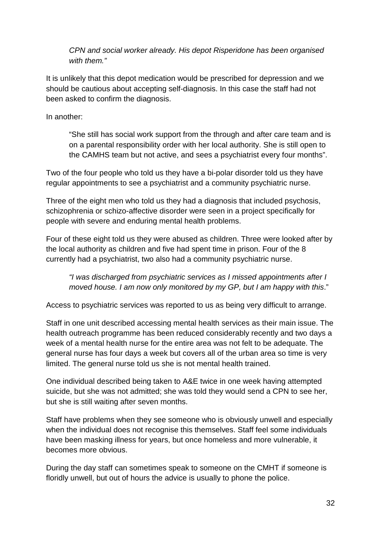*CPN and social worker already. His depot Risperidone has been organised with them."*

It is unlikely that this depot medication would be prescribed for depression and we should be cautious about accepting self-diagnosis. In this case the staff had not been asked to confirm the diagnosis.

In another:

"She still has social work support from the through and after care team and is on a parental responsibility order with her local authority. She is still open to the CAMHS team but not active, and sees a psychiatrist every four months".

Two of the four people who told us they have a bi-polar disorder told us they have regular appointments to see a psychiatrist and a community psychiatric nurse.

Three of the eight men who told us they had a diagnosis that included psychosis, schizophrenia or schizo-affective disorder were seen in a project specifically for people with severe and enduring mental health problems.

Four of these eight told us they were abused as children. Three were looked after by the local authority as children and five had spent time in prison. Four of the 8 currently had a psychiatrist, two also had a community psychiatric nurse.

*"I was discharged from psychiatric services as I missed appointments after I moved house. I am now only monitored by my GP, but I am happy with this*."

Access to psychiatric services was reported to us as being very difficult to arrange.

Staff in one unit described accessing mental health services as their main issue. The health outreach programme has been reduced considerably recently and two days a week of a mental health nurse for the entire area was not felt to be adequate. The general nurse has four days a week but covers all of the urban area so time is very limited. The general nurse told us she is not mental health trained.

One individual described being taken to A&E twice in one week having attempted suicide, but she was not admitted; she was told they would send a CPN to see her, but she is still waiting after seven months.

Staff have problems when they see someone who is obviously unwell and especially when the individual does not recognise this themselves. Staff feel some individuals have been masking illness for years, but once homeless and more vulnerable, it becomes more obvious.

During the day staff can sometimes speak to someone on the CMHT if someone is floridly unwell, but out of hours the advice is usually to phone the police.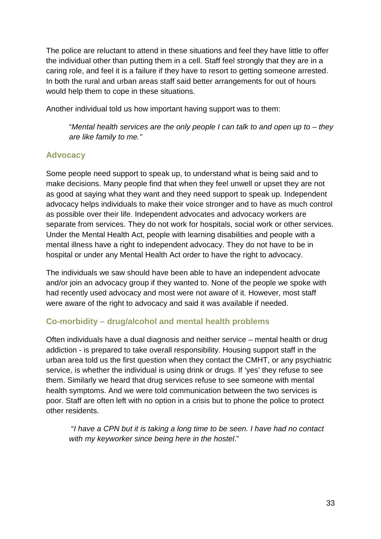The police are reluctant to attend in these situations and feel they have little to offer the individual other than putting them in a cell. Staff feel strongly that they are in a caring role, and feel it is a failure if they have to resort to getting someone arrested. In both the rural and urban areas staff said better arrangements for out of hours would help them to cope in these situations.

Another individual told us how important having support was to them:

"*Mental health services are the only people I can talk to and open up to – they are like family to me."*

#### **Advocacy**

Some people need support to speak up, to understand what is being said and to make decisions. Many people find that when they feel unwell or upset they are not as good at saying what they want and they need support to speak up. Independent advocacy helps individuals to make their voice stronger and to have as much control as possible over their life. Independent advocates and advocacy workers are separate from services. They do not work for hospitals, social work or other services. Under the Mental Health Act, people with learning disabilities and people with a mental illness have a right to independent advocacy. They do not have to be in hospital or under any Mental Health Act order to have the right to advocacy.

The individuals we saw should have been able to have an independent advocate and/or join an advocacy group if they wanted to. None of the people we spoke with had recently used advocacy and most were not aware of it. However, most staff were aware of the right to advocacy and said it was available if needed.

#### **Co-morbidity – drug/alcohol and mental health problems**

Often individuals have a dual diagnosis and neither service – mental health or drug addiction - is prepared to take overall responsibility. Housing support staff in the urban area told us the first question when they contact the CMHT, or any psychiatric service, is whether the individual is using drink or drugs. If 'yes' they refuse to see them. Similarly we heard that drug services refuse to see someone with mental health symptoms. And we were told communication between the two services is poor. Staff are often left with no option in a crisis but to phone the police to protect other residents.

 "*I have a CPN but it is taking a long time to be seen. I have had no contact with my keyworker since being here in the hostel*."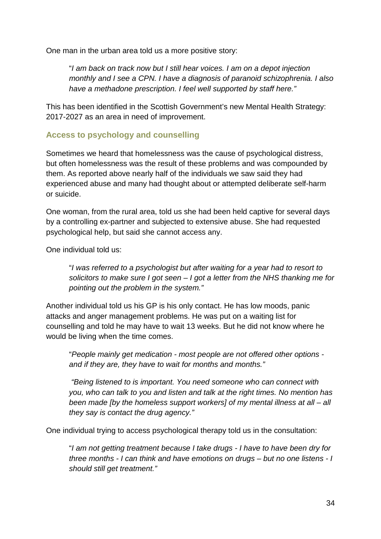One man in the urban area told us a more positive story:

"*I am back on track now but I still hear voices. I am on a depot injection monthly and I see a CPN. I have a diagnosis of paranoid schizophrenia. I also have a methadone prescription. I feel well supported by staff here."*

This has been identified in the Scottish Government's new Mental Health Strategy: 2017-2027 as an area in need of improvement.

#### **Access to psychology and counselling**

Sometimes we heard that homelessness was the cause of psychological distress, but often homelessness was the result of these problems and was compounded by them. As reported above nearly half of the individuals we saw said they had experienced abuse and many had thought about or attempted deliberate self-harm or suicide.

One woman, from the rural area, told us she had been held captive for several days by a controlling ex-partner and subjected to extensive abuse. She had requested psychological help, but said she cannot access any.

One individual told us:

"*I was referred to a psychologist but after waiting for a year had to resort to solicitors to make sure I got seen – I got a letter from the NHS thanking me for pointing out the problem in the system."*

Another individual told us his GP is his only contact. He has low moods, panic attacks and anger management problems. He was put on a waiting list for counselling and told he may have to wait 13 weeks. But he did not know where he would be living when the time comes.

"*People mainly get medication - most people are not offered other options and if they are, they have to wait for months and months."* 

*"Being listened to is important. You need someone who can connect with you, who can talk to you and listen and talk at the right times. No mention has been made [by the homeless support workers] of my mental illness at all – all they say is contact the drug agency."* 

One individual trying to access psychological therapy told us in the consultation:

"*I am not getting treatment because I take drugs - I have to have been dry for three months - I can think and have emotions on drugs – but no one listens - I should still get treatment."*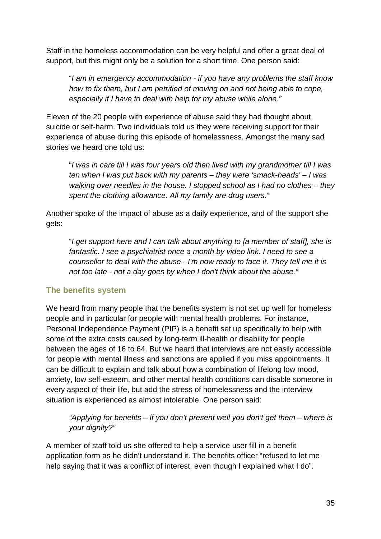Staff in the homeless accommodation can be very helpful and offer a great deal of support, but this might only be a solution for a short time. One person said:

"*I am in emergency accommodation - if you have any problems the staff know how to fix them, but I am petrified of moving on and not being able to cope, especially if I have to deal with help for my abuse while alone."*

Eleven of the 20 people with experience of abuse said they had thought about suicide or self-harm. Two individuals told us they were receiving support for their experience of abuse during this episode of homelessness. Amongst the many sad stories we heard one told us:

"*I was in care till I was four years old then lived with my grandmother till I was ten when I was put back with my parents – they were 'smack-heads' – I was walking over needles in the house. I stopped school as I had no clothes – they spent the clothing allowance. All my family are drug users*."

Another spoke of the impact of abuse as a daily experience, and of the support she gets:

"*I get support here and I can talk about anything to [a member of staff], she is fantastic. I see a psychiatrist once a month by video link. I need to see a counsellor to deal with the abuse - I'm now ready to face it. They tell me it is not too late - not a day goes by when I don't think about the abuse."*

#### **The benefits system**

We heard from many people that the benefits system is not set up well for homeless people and in particular for people with mental health problems. For instance, Personal Independence Payment (PIP) is a benefit set up specifically to help with some of the extra costs caused by long-term ill-health or disability for people between the ages of 16 to 64. But we heard that interviews are not easily accessible for people with mental illness and sanctions are applied if you miss appointments. It can be difficult to explain and talk about how a combination of lifelong low mood, anxiety, low self-esteem, and other mental health conditions can disable someone in every aspect of their life, but add the stress of homelessness and the interview situation is experienced as almost intolerable. One person said:

*"Applying for benefits – if you don't present well you don't get them – where is your dignity?"*

A member of staff told us she offered to help a service user fill in a benefit application form as he didn't understand it. The benefits officer "refused to let me help saying that it was a conflict of interest, even though I explained what I do".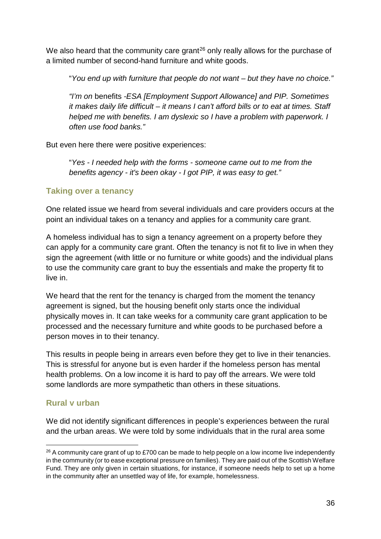We also heard that the community care grant<sup>[26](#page-37-0)</sup> only really allows for the purchase of a limited number of second-hand furniture and white goods.

"*You end up with furniture that people do not want – but they have no choice."* 

*"I'm on* benefits *-ESA [Employment Support Allowance] and PIP. Sometimes it makes daily life difficult – it means I can't afford bills or to eat at times. Staff helped me with benefits. I am dyslexic so I have a problem with paperwork. I often use food banks."* 

But even here there were positive experiences:

"*Yes - I needed help with the forms - someone came out to me from the benefits agency - it's been okay - I got PIP, it was easy to get."*

#### **Taking over a tenancy**

One related issue we heard from several individuals and care providers occurs at the point an individual takes on a tenancy and applies for a community care grant.

A homeless individual has to sign a tenancy agreement on a property before they can apply for a community care grant. Often the tenancy is not fit to live in when they sign the agreement (with little or no furniture or white goods) and the individual plans to use the community care grant to buy the essentials and make the property fit to live in.

We heard that the rent for the tenancy is charged from the moment the tenancy agreement is signed, but the housing benefit only starts once the individual physically moves in. It can take weeks for a community care grant application to be processed and the necessary furniture and white goods to be purchased before a person moves in to their tenancy.

This results in people being in arrears even before they get to live in their tenancies. This is stressful for anyone but is even harder if the homeless person has mental health problems. On a low income it is hard to pay off the arrears. We were told some landlords are more sympathetic than others in these situations.

#### **Rural v urban**

We did not identify significant differences in people's experiences between the rural and the urban areas. We were told by some individuals that in the rural area some

<span id="page-37-0"></span><sup>&</sup>lt;sup>26</sup> A community care grant of up to £700 can be made to help people on a low income live independently in the community (or to ease exceptional pressure on families). They are paid out of the Scottish Welfare Fund. They are only given in certain situations, for instance, if someone needs help to set up a home in the community after an unsettled way of life, for example, homelessness.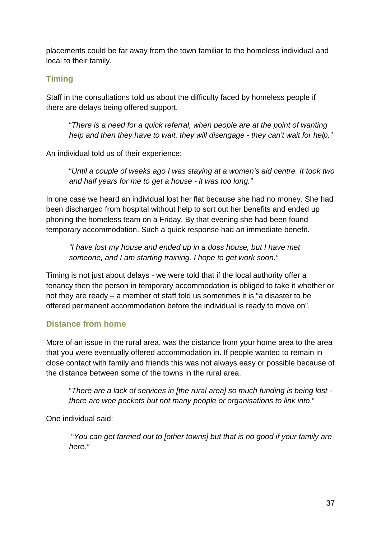placements could be far away from the town familiar to the homeless individual and local to their family.

### **Timing**

Staff in the consultations told us about the difficulty faced by homeless people if there are delays being offered support.

"*There is a need for a quick referral, when people are at the point of wanting help and then they have to wait, they will disengage - they can't wait for help."*

An individual told us of their experience:

"*Until a couple of weeks ago I was staying at a women's aid centre. It took two and half years for me to get a house - it was too long."*

In one case we heard an individual lost her flat because she had no money. She had been discharged from hospital without help to sort out her benefits and ended up phoning the homeless team on a Friday. By that evening she had been found temporary accommodation. Such a quick response had an immediate benefit.

*"I have lost my house and ended up in a doss house, but I have met someone, and I am starting training. I hope to get work soon."* 

Timing is not just about delays - we were told that if the local authority offer a tenancy then the person in temporary accommodation is obliged to take it whether or not they are ready – a member of staff told us sometimes it is "a disaster to be offered permanent accommodation before the individual is ready to move on".

## **Distance from home**

More of an issue in the rural area, was the distance from your home area to the area that you were eventually offered accommodation in. If people wanted to remain in close contact with family and friends this was not always easy or possible because of the distance between some of the towns in the rural area.

"*There are a lack of services in [the rural area] so much funding is being lost there are wee pockets but not many people or organisations to link into*."

One individual said:

 "*You can get farmed out to [other towns] but that is no good if your family are here."*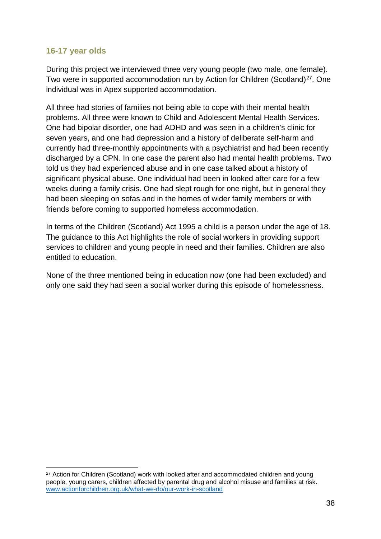#### **16-17 year olds**

During this project we interviewed three very young people (two male, one female). Two were in supported accommodation run by Action for Children (Scotland)<sup>27</sup>. One individual was in Apex supported accommodation.

All three had stories of families not being able to cope with their mental health problems. All three were known to Child and Adolescent Mental Health Services. One had bipolar disorder, one had ADHD and was seen in a children's clinic for seven years, and one had depression and a history of deliberate self-harm and currently had three-monthly appointments with a psychiatrist and had been recently discharged by a CPN. In one case the parent also had mental health problems. Two told us they had experienced abuse and in one case talked about a history of significant physical abuse. One individual had been in looked after care for a few weeks during a family crisis. One had slept rough for one night, but in general they had been sleeping on sofas and in the homes of wider family members or with friends before coming to supported homeless accommodation.

In terms of the Children (Scotland) Act 1995 a child is a person under the age of 18. The guidance to this Act highlights the role of social workers in providing support services to children and young people in need and their families. Children are also entitled to education.

None of the three mentioned being in education now (one had been excluded) and only one said they had seen a social worker during this episode of homelessness.

<span id="page-39-0"></span><sup>&</sup>lt;sup>27</sup> Action for Children (Scotland) work with looked after and accommodated children and young people, young carers, children affected by parental drug and alcohol misuse and families at risk. [www.actionforchildren.org.uk/what-we-do/our-work-in-scotland](http://www.actionforchildren.org.uk/what-we-do/our-work-in-scotland)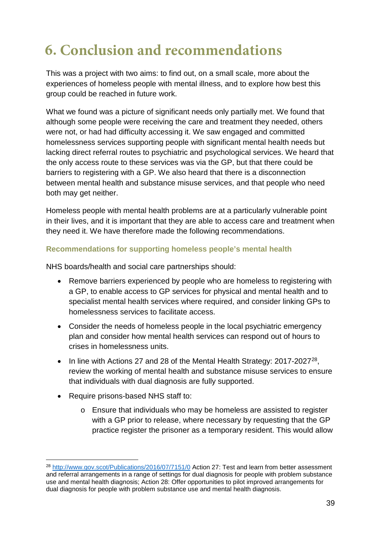## **6. Conclusion and recommendations**

This was a project with two aims: to find out, on a small scale, more about the experiences of homeless people with mental illness, and to explore how best this group could be reached in future work.

What we found was a picture of significant needs only partially met. We found that although some people were receiving the care and treatment they needed, others were not, or had had difficulty accessing it. We saw engaged and committed homelessness services supporting people with significant mental health needs but lacking direct referral routes to psychiatric and psychological services. We heard that the only access route to these services was via the GP, but that there could be barriers to registering with a GP. We also heard that there is a disconnection between mental health and substance misuse services, and that people who need both may get neither.

Homeless people with mental health problems are at a particularly vulnerable point in their lives, and it is important that they are able to access care and treatment when they need it. We have therefore made the following recommendations.

#### **Recommendations for supporting homeless people's mental health**

NHS boards/health and social care partnerships should:

- Remove barriers experienced by people who are homeless to registering with a GP, to enable access to GP services for physical and mental health and to specialist mental health services where required, and consider linking GPs to homelessness services to facilitate access.
- Consider the needs of homeless people in the local psychiatric emergency plan and consider how mental health services can respond out of hours to crises in homelessness units.
- In line with Actions 27 and 28 of the Mental Health Strategy:  $2017-2027^{28}$ , review the working of mental health and substance misuse services to ensure that individuals with dual diagnosis are fully supported.
- Require prisons-based NHS staff to:
	- o Ensure that individuals who may be homeless are assisted to register with a GP prior to release, where necessary by requesting that the GP practice register the prisoner as a temporary resident. This would allow

<span id="page-40-0"></span><sup>28</sup> <http://www.gov.scot/Publications/2016/07/7151/0> Action 27: Test and learn from better assessment and referral arrangements in a range of settings for dual diagnosis for people with problem substance use and mental health diagnosis; Action 28: Offer opportunities to pilot improved arrangements for dual diagnosis for people with problem substance use and mental health diagnosis.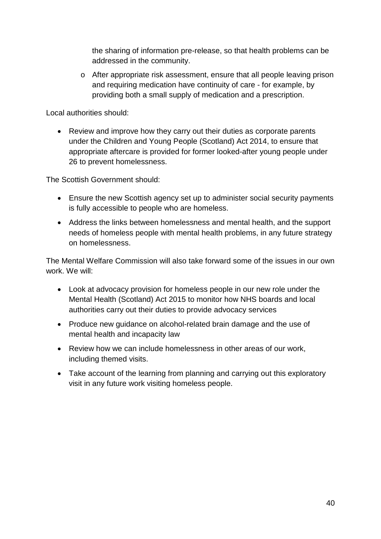the sharing of information pre-release, so that health problems can be addressed in the community.

o After appropriate risk assessment, ensure that all people leaving prison and requiring medication have continuity of care - for example, by providing both a small supply of medication and a prescription.

Local authorities should:

• Review and improve how they carry out their duties as corporate parents under the Children and Young People (Scotland) Act 2014, to ensure that appropriate aftercare is provided for former looked-after young people under 26 to prevent homelessness.

The Scottish Government should:

- Ensure the new Scottish agency set up to administer social security payments is fully accessible to people who are homeless.
- Address the links between homelessness and mental health, and the support needs of homeless people with mental health problems, in any future strategy on homelessness.

The Mental Welfare Commission will also take forward some of the issues in our own work. We will:

- Look at advocacy provision for homeless people in our new role under the Mental Health (Scotland) Act 2015 to monitor how NHS boards and local authorities carry out their duties to provide advocacy services
- Produce new guidance on alcohol-related brain damage and the use of mental health and incapacity law
- Review how we can include homelessness in other areas of our work, including themed visits.
- Take account of the learning from planning and carrying out this exploratory visit in any future work visiting homeless people.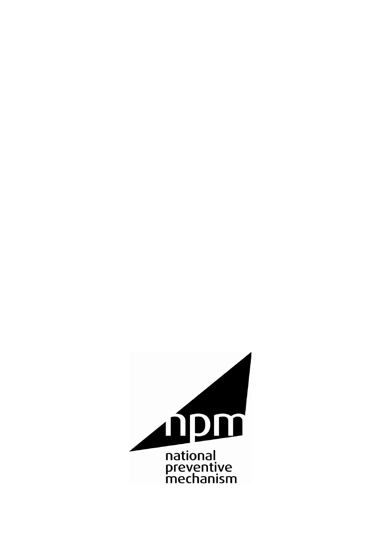